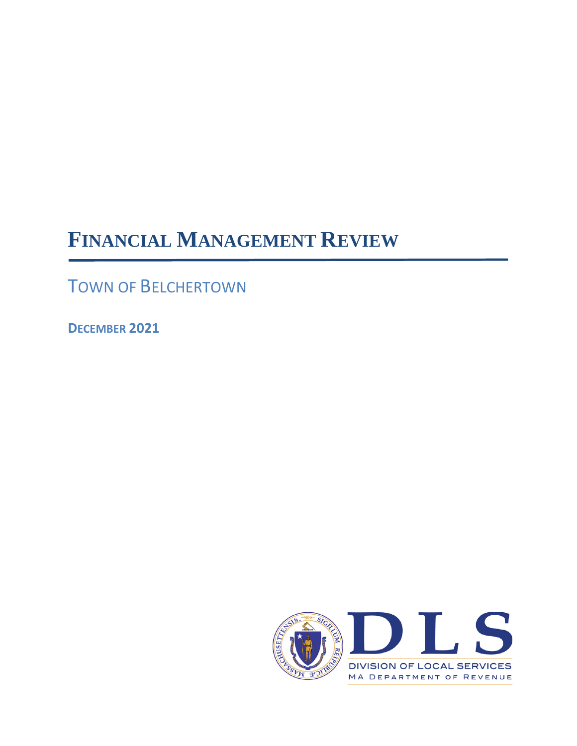# **FINANCIAL MANAGEMENT REVIEW**

TOWN OF BELCHERTOWN

**DECEMBER 2021**

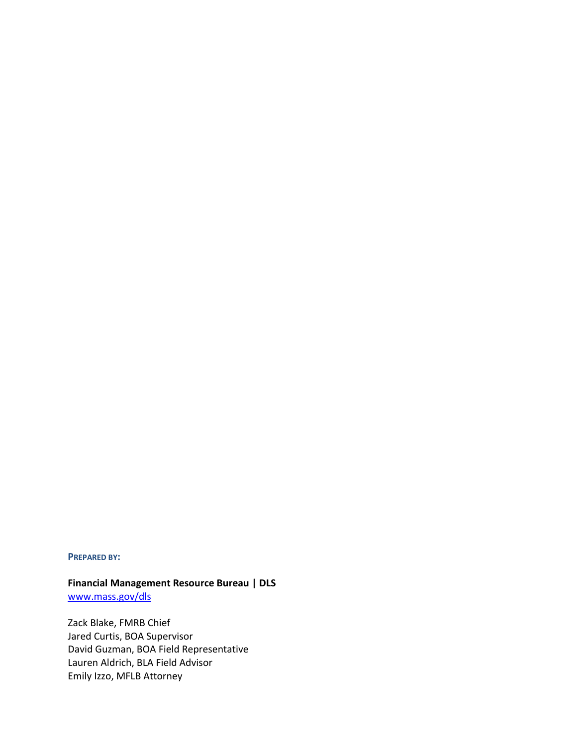#### **PREPARED BY:**

# **Financial Management Resource Bureau | DLS**

[www.mass.gov/dls](http://www.mass.gov/dls)

Zack Blake, FMRB Chief Jared Curtis, BOA Supervisor David Guzman, BOA Field Representative Lauren Aldrich, BLA Field Advisor Emily Izzo, MFLB Attorney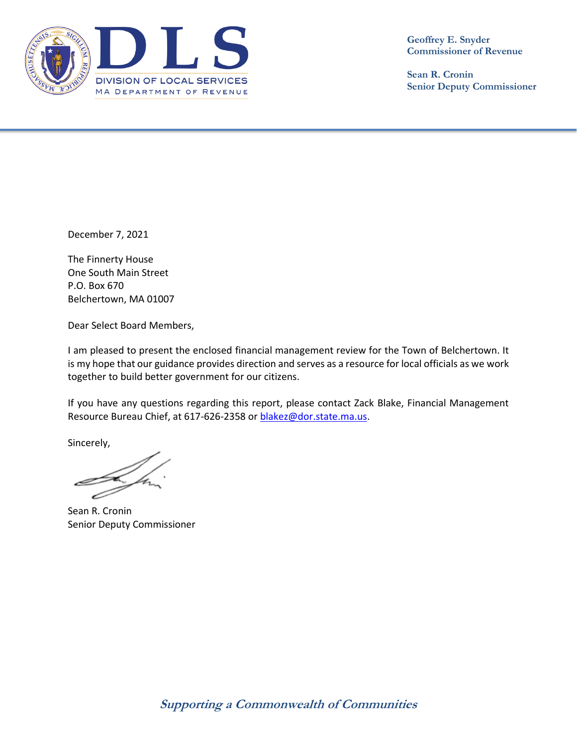

**Geoffrey E. Snyder Commissioner of Revenue**

**Sean R. Cronin Senior Deputy Commissioner**

December 7, 2021

The Finnerty House One South Main Street P.O. Box 670 Belchertown, MA 01007

Dear Select Board Members,

I am pleased to present the enclosed financial management review for the Town of Belchertown. It is my hope that our guidance provides direction and serves as a resource for local officials as we work together to build better government for our citizens.

If you have any questions regarding this report, please contact Zack Blake, Financial Management Resource Bureau Chief, at 617-626-2358 or [blakez@dor.state.ma.us.](mailto:blakez@dor.state.ma.us)

Sincerely,

Sean R. Cronin Senior Deputy Commissioner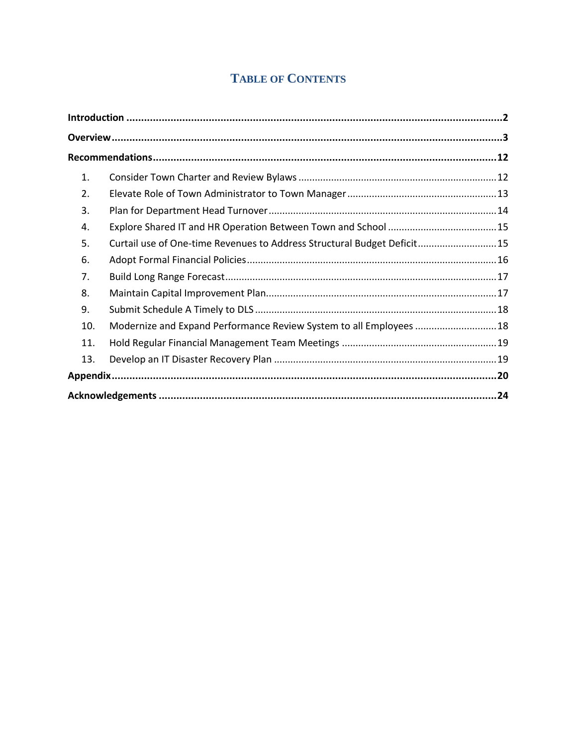# **TABLE OF CONTENTS**

| 1.  |                                                                         |  |
|-----|-------------------------------------------------------------------------|--|
| 2.  |                                                                         |  |
| 3.  |                                                                         |  |
| 4.  |                                                                         |  |
| 5.  | Curtail use of One-time Revenues to Address Structural Budget Deficit15 |  |
| 6.  |                                                                         |  |
| 7.  |                                                                         |  |
| 8.  |                                                                         |  |
| 9.  |                                                                         |  |
| 10. | Modernize and Expand Performance Review System to all Employees  18     |  |
| 11. |                                                                         |  |
| 13. |                                                                         |  |
|     |                                                                         |  |
|     |                                                                         |  |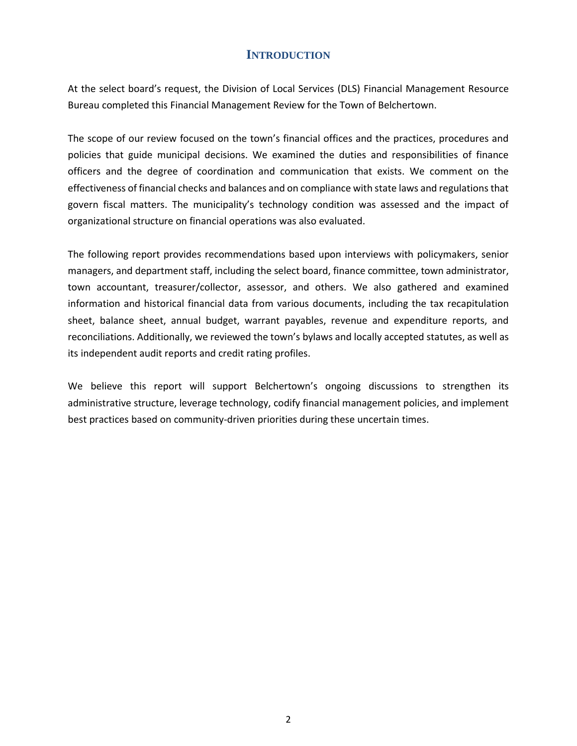### **INTRODUCTION**

<span id="page-5-0"></span>At the select board's request, the Division of Local Services (DLS) Financial Management Resource Bureau completed this Financial Management Review for the Town of Belchertown.

The scope of our review focused on the town's financial offices and the practices, procedures and policies that guide municipal decisions. We examined the duties and responsibilities of finance officers and the degree of coordination and communication that exists. We comment on the effectiveness of financial checks and balances and on compliance with state laws and regulations that govern fiscal matters. The municipality's technology condition was assessed and the impact of organizational structure on financial operations was also evaluated.

The following report provides recommendations based upon interviews with policymakers, senior managers, and department staff, including the select board, finance committee, town administrator, town accountant, treasurer/collector, assessor, and others. We also gathered and examined information and historical financial data from various documents, including the tax recapitulation sheet, balance sheet, annual budget, warrant payables, revenue and expenditure reports, and reconciliations. Additionally, we reviewed the town's bylaws and locally accepted statutes, as well as its independent audit reports and credit rating profiles.

We believe this report will support Belchertown's ongoing discussions to strengthen its administrative structure, leverage technology, codify financial management policies, and implement best practices based on community-driven priorities during these uncertain times.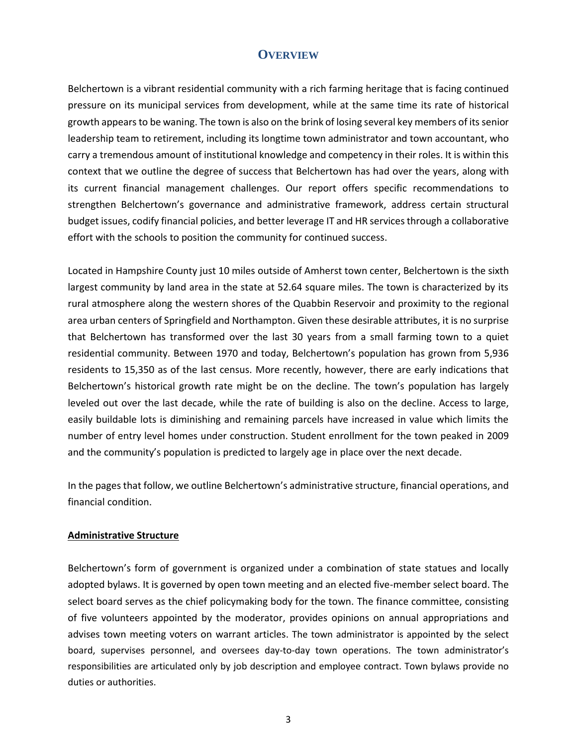#### **OVERVIEW**

<span id="page-6-0"></span>Belchertown is a vibrant residential community with a rich farming heritage that is facing continued pressure on its municipal services from development, while at the same time its rate of historical growth appears to be waning. The town is also on the brink of losing several key members of its senior leadership team to retirement, including its longtime town administrator and town accountant, who carry a tremendous amount of institutional knowledge and competency in their roles. It is within this context that we outline the degree of success that Belchertown has had over the years, along with its current financial management challenges. Our report offers specific recommendations to strengthen Belchertown's governance and administrative framework, address certain structural budget issues, codify financial policies, and better leverage IT and HR servicesthrough a collaborative effort with the schools to position the community for continued success.

Located in Hampshire County just 10 miles outside of Amherst town center, Belchertown is the sixth largest community by land area in the state at 52.64 square miles. The town is characterized by its rural atmosphere along the western shores of the Quabbin Reservoir and proximity to the regional area urban centers of Springfield and Northampton. Given these desirable attributes, it is no surprise that Belchertown has transformed over the last 30 years from a small farming town to a quiet residential community. Between 1970 and today, Belchertown's population has grown from 5,936 residents to 15,350 as of the last census. More recently, however, there are early indications that Belchertown's historical growth rate might be on the decline. The town's population has largely leveled out over the last decade, while the rate of building is also on the decline. Access to large, easily buildable lots is diminishing and remaining parcels have increased in value which limits the number of entry level homes under construction. Student enrollment for the town peaked in 2009 and the community's population is predicted to largely age in place over the next decade.

In the pages that follow, we outline Belchertown's administrative structure, financial operations, and financial condition.

#### **Administrative Structure**

Belchertown's form of government is organized under a combination of state statues and locally adopted bylaws. It is governed by open town meeting and an elected five-member select board. The select board serves as the chief policymaking body for the town. The finance committee, consisting of five volunteers appointed by the moderator, provides opinions on annual appropriations and advises town meeting voters on warrant articles. The town administrator is appointed by the select board, supervises personnel, and oversees day-to-day town operations. The town administrator's responsibilities are articulated only by job description and employee contract. Town bylaws provide no duties or authorities.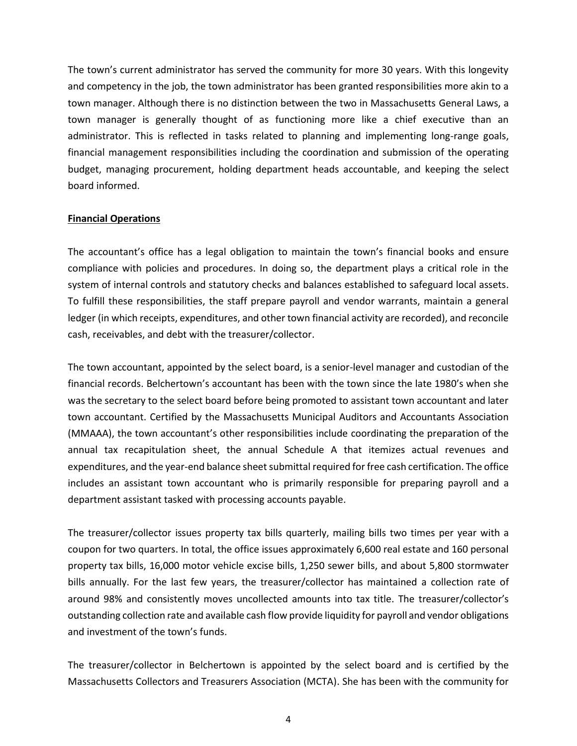The town's current administrator has served the community for more 30 years. With this longevity and competency in the job, the town administrator has been granted responsibilities more akin to a town manager. Although there is no distinction between the two in Massachusetts General Laws, a town manager is generally thought of as functioning more like a chief executive than an administrator. This is reflected in tasks related to planning and implementing long-range goals, financial management responsibilities including the coordination and submission of the operating budget, managing procurement, holding department heads accountable, and keeping the select board informed.

#### **Financial Operations**

The accountant's office has a legal obligation to maintain the town's financial books and ensure compliance with policies and procedures. In doing so, the department plays a critical role in the system of internal controls and statutory checks and balances established to safeguard local assets. To fulfill these responsibilities, the staff prepare payroll and vendor warrants, maintain a general ledger (in which receipts, expenditures, and other town financial activity are recorded), and reconcile cash, receivables, and debt with the treasurer/collector.

The town accountant, appointed by the select board, is a senior-level manager and custodian of the financial records. Belchertown's accountant has been with the town since the late 1980's when she was the secretary to the select board before being promoted to assistant town accountant and later town accountant. Certified by the Massachusetts Municipal Auditors and Accountants Association (MMAAA), the town accountant's other responsibilities include coordinating the preparation of the annual tax recapitulation sheet, the annual Schedule A that itemizes actual revenues and expenditures, and the year-end balance sheet submittal required for free cash certification. The office includes an assistant town accountant who is primarily responsible for preparing payroll and a department assistant tasked with processing accounts payable.

The treasurer/collector issues property tax bills quarterly, mailing bills two times per year with a coupon for two quarters. In total, the office issues approximately 6,600 real estate and 160 personal property tax bills, 16,000 motor vehicle excise bills, 1,250 sewer bills, and about 5,800 stormwater bills annually. For the last few years, the treasurer/collector has maintained a collection rate of around 98% and consistently moves uncollected amounts into tax title. The treasurer/collector's outstanding collection rate and available cash flow provide liquidity for payroll and vendor obligations and investment of the town's funds.

The treasurer/collector in Belchertown is appointed by the select board and is certified by the Massachusetts Collectors and Treasurers Association (MCTA). She has been with the community for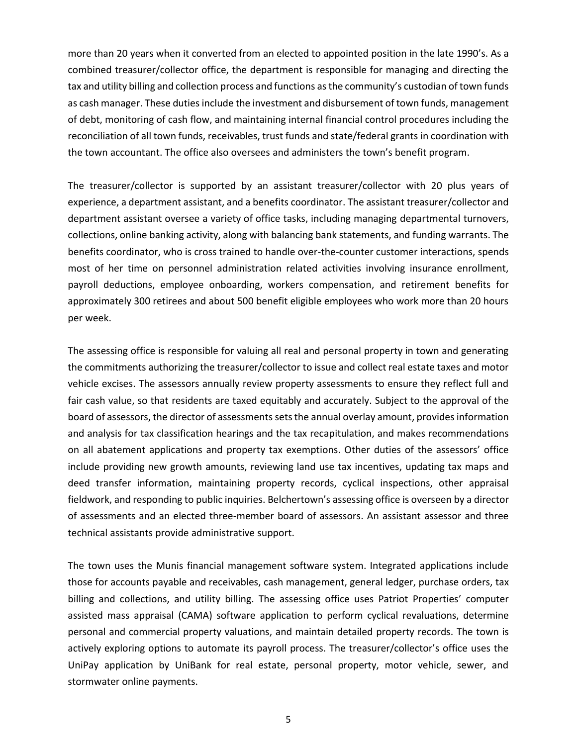more than 20 years when it converted from an elected to appointed position in the late 1990's. As a combined treasurer/collector office, the department is responsible for managing and directing the tax and utility billing and collection process and functions as the community's custodian of town funds as cash manager. These duties include the investment and disbursement of town funds, management of debt, monitoring of cash flow, and maintaining internal financial control procedures including the reconciliation of all town funds, receivables, trust funds and state/federal grants in coordination with the town accountant. The office also oversees and administers the town's benefit program.

The treasurer/collector is supported by an assistant treasurer/collector with 20 plus years of experience, a department assistant, and a benefits coordinator. The assistant treasurer/collector and department assistant oversee a variety of office tasks, including managing departmental turnovers, collections, online banking activity, along with balancing bank statements, and funding warrants. The benefits coordinator, who is cross trained to handle over-the-counter customer interactions, spends most of her time on personnel administration related activities involving insurance enrollment, payroll deductions, employee onboarding, workers compensation, and retirement benefits for approximately 300 retirees and about 500 benefit eligible employees who work more than 20 hours per week.

The assessing office is responsible for valuing all real and personal property in town and generating the commitments authorizing the treasurer/collector to issue and collect real estate taxes and motor vehicle excises. The assessors annually review property assessments to ensure they reflect full and fair cash value, so that residents are taxed equitably and accurately. Subject to the approval of the board of assessors, the director of assessments sets the annual overlay amount, provides information and analysis for tax classification hearings and the tax recapitulation, and makes recommendations on all abatement applications and property tax exemptions. Other duties of the assessors' office include providing new growth amounts, reviewing land use tax incentives, updating tax maps and deed transfer information, maintaining property records, cyclical inspections, other appraisal fieldwork, and responding to public inquiries. Belchertown's assessing office is overseen by a director of assessments and an elected three-member board of assessors. An assistant assessor and three technical assistants provide administrative support.

The town uses the Munis financial management software system. Integrated applications include those for accounts payable and receivables, cash management, general ledger, purchase orders, tax billing and collections, and utility billing. The assessing office uses Patriot Properties' computer assisted mass appraisal (CAMA) software application to perform cyclical revaluations, determine personal and commercial property valuations, and maintain detailed property records. The town is actively exploring options to automate its payroll process. The treasurer/collector's office uses the UniPay application by UniBank for real estate, personal property, motor vehicle, sewer, and stormwater online payments.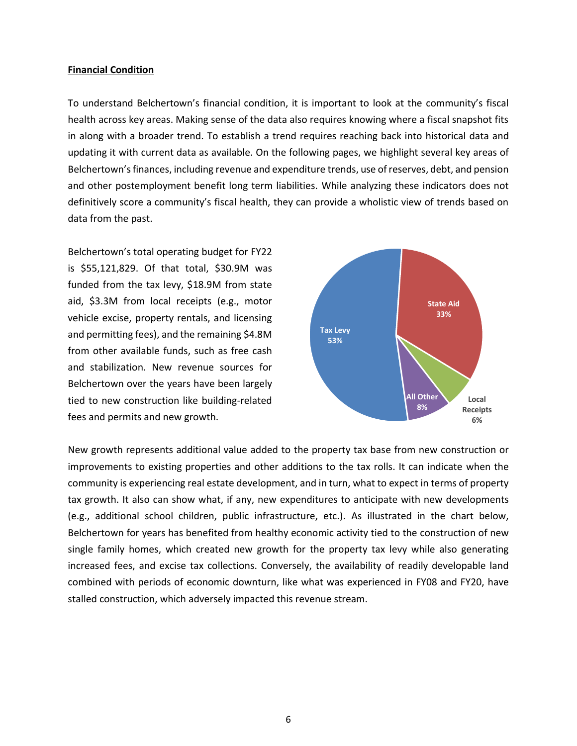#### **Financial Condition**

To understand Belchertown's financial condition, it is important to look at the community's fiscal health across key areas. Making sense of the data also requires knowing where a fiscal snapshot fits in along with a broader trend. To establish a trend requires reaching back into historical data and updating it with current data as available. On the following pages, we highlight several key areas of Belchertown's finances, including revenue and expenditure trends, use of reserves, debt, and pension and other postemployment benefit long term liabilities. While analyzing these indicators does not definitively score a community's fiscal health, they can provide a wholistic view of trends based on data from the past.

Belchertown's total operating budget for FY22 is \$55,121,829. Of that total, \$30.9M was funded from the tax levy, \$18.9M from state aid, \$3.3M from local receipts (e.g., motor vehicle excise, property rentals, and licensing and permitting fees), and the remaining \$4.8M from other available funds, such as free cash and stabilization. New revenue sources for Belchertown over the years have been largely tied to new construction like building-related fees and permits and new growth.



New growth represents additional value added to the property tax base from new construction or improvements to existing properties and other additions to the tax rolls. It can indicate when the community is experiencing real estate development, and in turn, what to expect in terms of property tax growth. It also can show what, if any, new expenditures to anticipate with new developments (e.g., additional school children, public infrastructure, etc.). As illustrated in the chart below, Belchertown for years has benefited from healthy economic activity tied to the construction of new single family homes, which created new growth for the property tax levy while also generating increased fees, and excise tax collections. Conversely, the availability of readily developable land combined with periods of economic downturn, like what was experienced in FY08 and FY20, have stalled construction, which adversely impacted this revenue stream.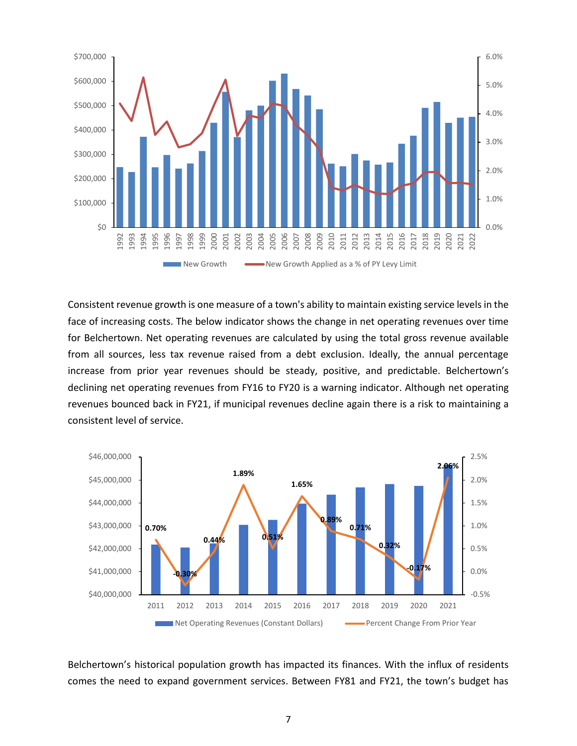

Consistent revenue growth is one measure of a town's ability to maintain existing service levels in the face of increasing costs. The below indicator shows the change in net operating revenues over time for Belchertown. Net operating revenues are calculated by using the total gross revenue available from all sources, less tax revenue raised from a debt exclusion. Ideally, the annual percentage increase from prior year revenues should be steady, positive, and predictable. Belchertown's declining net operating revenues from FY16 to FY20 is a warning indicator. Although net operating revenues bounced back in FY21, if municipal revenues decline again there is a risk to maintaining a consistent level of service.



Belchertown's historical population growth has impacted its finances. With the influx of residents comes the need to expand government services. Between FY81 and FY21, the town's budget has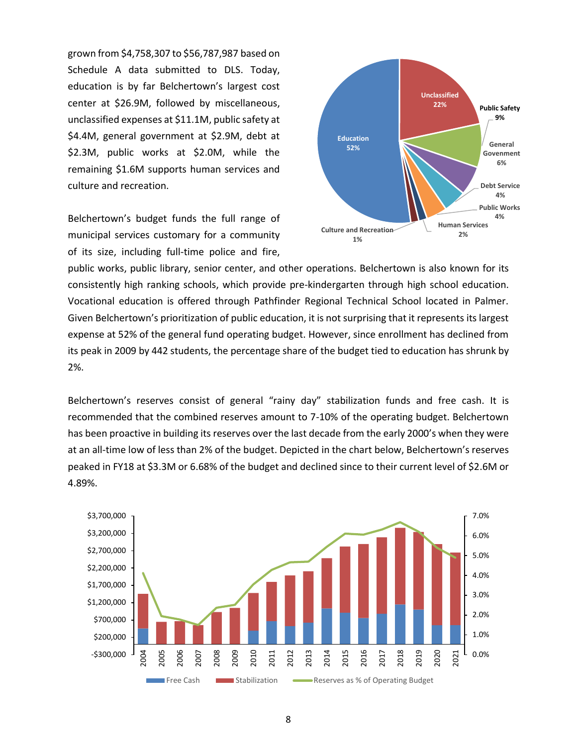grown from \$4,758,307 to \$56,787,987 based on Schedule A data submitted to DLS. Today, education is by far Belchertown's largest cost center at \$26.9M, followed by miscellaneous, unclassified expenses at \$11.1M, public safety at \$4.4M, general government at \$2.9M, debt at \$2.3M, public works at \$2.0M, while the remaining \$1.6M supports human services and culture and recreation.

Belchertown's budget funds the full range of municipal services customary for a community of its size, including full-time police and fire,



public works, public library, senior center, and other operations. Belchertown is also known for its consistently high ranking schools, which provide pre-kindergarten through high school education. Vocational education is offered through Pathfinder Regional Technical School located in Palmer. Given Belchertown's prioritization of public education, it is not surprising that it represents its largest expense at 52% of the general fund operating budget. However, since enrollment has declined from its peak in 2009 by 442 students, the percentage share of the budget tied to education has shrunk by 2%.

Belchertown's reserves consist of general "rainy day" stabilization funds and free cash. It is recommended that the combined reserves amount to 7-10% of the operating budget. Belchertown has been proactive in building its reserves over the last decade from the early 2000's when they were at an all-time low of less than 2% of the budget. Depicted in the chart below, Belchertown's reserves peaked in FY18 at \$3.3M or 6.68% of the budget and declined since to their current level of \$2.6M or 4.89%.

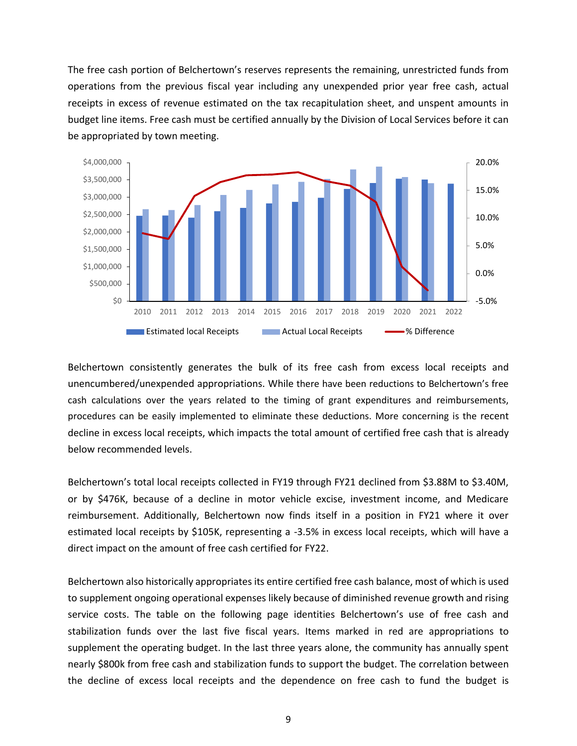The free cash portion of Belchertown's reserves represents the remaining, unrestricted funds from operations from the previous fiscal year including any unexpended prior year free cash, actual receipts in excess of revenue estimated on the tax recapitulation sheet, and unspent amounts in budget line items. Free cash must be certified annually by the Division of Local Services before it can be appropriated by town meeting.



Belchertown consistently generates the bulk of its free cash from excess local receipts and unencumbered/unexpended appropriations. While there have been reductions to Belchertown's free cash calculations over the years related to the timing of grant expenditures and reimbursements, procedures can be easily implemented to eliminate these deductions. More concerning is the recent decline in excess local receipts, which impacts the total amount of certified free cash that is already below recommended levels.

Belchertown's total local receipts collected in FY19 through FY21 declined from \$3.88M to \$3.40M, or by \$476K, because of a decline in motor vehicle excise, investment income, and Medicare reimbursement. Additionally, Belchertown now finds itself in a position in FY21 where it over estimated local receipts by \$105K, representing a -3.5% in excess local receipts, which will have a direct impact on the amount of free cash certified for FY22.

Belchertown also historically appropriates its entire certified free cash balance, most of which is used to supplement ongoing operational expenses likely because of diminished revenue growth and rising service costs. The table on the following page identities Belchertown's use of free cash and stabilization funds over the last five fiscal years. Items marked in red are appropriations to supplement the operating budget. In the last three years alone, the community has annually spent nearly \$800k from free cash and stabilization funds to support the budget. The correlation between the decline of excess local receipts and the dependence on free cash to fund the budget is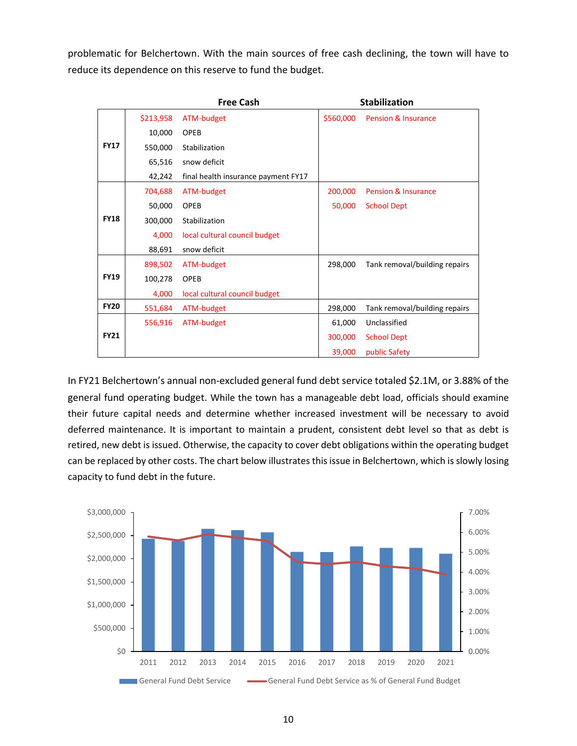problematic for Belchertown. With the main sources of free cash declining, the town will have to reduce its dependence on this reserve to fund the budget.

|             |           | <b>Free Cash</b>                    |           | <b>Stabilization</b>           |
|-------------|-----------|-------------------------------------|-----------|--------------------------------|
|             | \$213,958 | ATM-budget                          | \$560,000 | <b>Pension &amp; Insurance</b> |
|             | 10,000    | OPEB                                |           |                                |
| <b>FY17</b> | 550,000   | Stabilization                       |           |                                |
|             | 65,516    | snow deficit                        |           |                                |
|             | 42,242    | final health insurance payment FY17 |           |                                |
|             | 704,688   | ATM-budget                          | 200,000   | <b>Pension &amp; Insurance</b> |
|             | 50,000    | OPEB                                | 50,000    | <b>School Dept</b>             |
| <b>FY18</b> | 300,000   | Stabilization                       |           |                                |
|             | 4,000     | local cultural council budget       |           |                                |
|             | 88,691    | snow deficit                        |           |                                |
|             | 898,502   | ATM-budget                          | 298,000   | Tank removal/building repairs  |
| <b>FY19</b> | 100,278   | OPEB                                |           |                                |
|             | 4,000     | local cultural council budget       |           |                                |
| <b>FY20</b> | 551,684   | ATM-budget                          | 298,000   | Tank removal/building repairs  |
|             | 556,916   | ATM-budget                          | 61,000    | Unclassified                   |
| <b>FY21</b> |           |                                     | 300,000   | <b>School Dept</b>             |
|             |           |                                     | 39,000    | public Safety                  |

In FY21 Belchertown's annual non-excluded general fund debt service totaled \$2.1M, or 3.88% of the general fund operating budget. While the town has a manageable debt load, officials should examine their future capital needs and determine whether increased investment will be necessary to avoid deferred maintenance. It is important to maintain a prudent, consistent debt level so that as debt is retired, new debt is issued. Otherwise, the capacity to cover debt obligations within the operating budget can be replaced by other costs. The chart below illustrates this issue in Belchertown, which is slowly losing capacity to fund debt in the future.

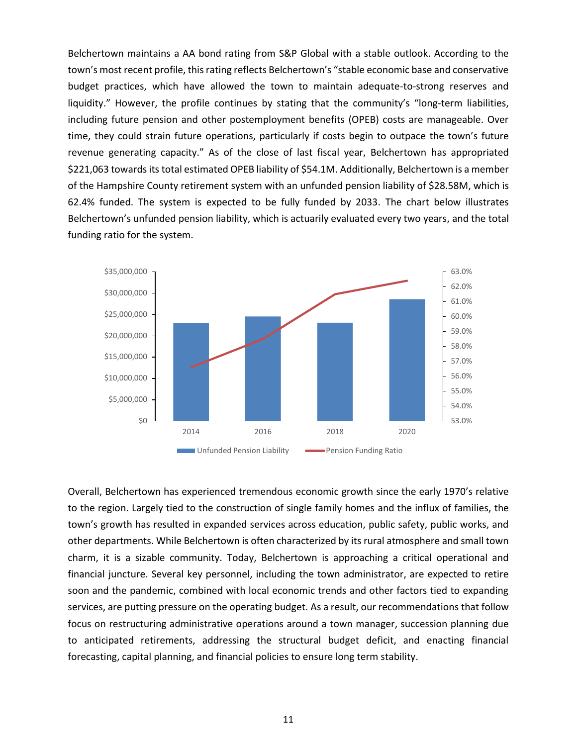Belchertown maintains a AA bond rating from S&P Global with a stable outlook. According to the town's most recent profile, this rating reflects Belchertown's "stable economic base and conservative budget practices, which have allowed the town to maintain adequate-to-strong reserves and liquidity." However, the profile continues by stating that the community's "long-term liabilities, including future pension and other postemployment benefits (OPEB) costs are manageable. Over time, they could strain future operations, particularly if costs begin to outpace the town's future revenue generating capacity." As of the close of last fiscal year, Belchertown has appropriated \$221,063 towards its total estimated OPEB liability of \$54.1M. Additionally, Belchertown is a member of the Hampshire County retirement system with an unfunded pension liability of \$28.58M, which is 62.4% funded. The system is expected to be fully funded by 2033. The chart below illustrates Belchertown's unfunded pension liability, which is actuarily evaluated every two years, and the total funding ratio for the system.



Overall, Belchertown has experienced tremendous economic growth since the early 1970's relative to the region. Largely tied to the construction of single family homes and the influx of families, the town's growth has resulted in expanded services across education, public safety, public works, and other departments. While Belchertown is often characterized by its rural atmosphere and small town charm, it is a sizable community. Today, Belchertown is approaching a critical operational and financial juncture. Several key personnel, including the town administrator, are expected to retire soon and the pandemic, combined with local economic trends and other factors tied to expanding services, are putting pressure on the operating budget. As a result, our recommendations that follow focus on restructuring administrative operations around a town manager, succession planning due to anticipated retirements, addressing the structural budget deficit, and enacting financial forecasting, capital planning, and financial policies to ensure long term stability.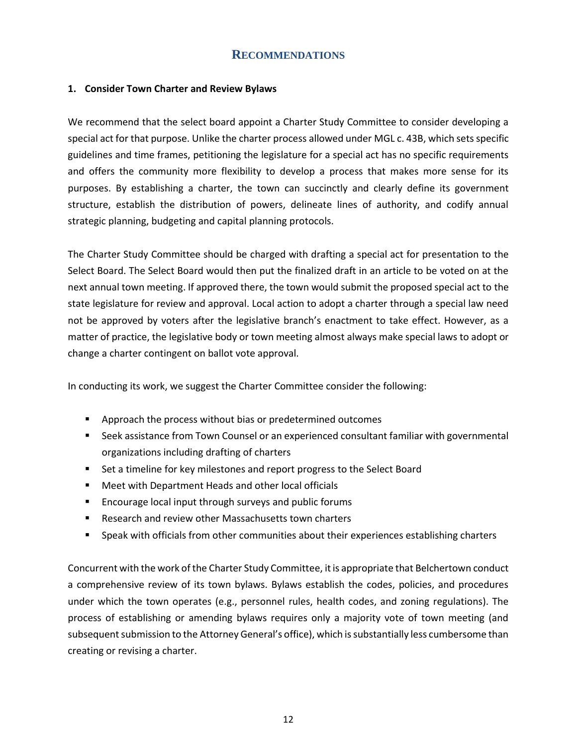#### **RECOMMENDATIONS**

#### <span id="page-15-1"></span><span id="page-15-0"></span>**1. Consider Town Charter and Review Bylaws**

We recommend that the select board appoint a Charter Study Committee to consider developing a special act for that purpose. Unlike the charter process allowed under [MGL c. 43B,](https://malegislature.gov/Laws/GeneralLaws/PartI/TitleVII/Chapter43B) which sets specific guidelines and time frames, petitioning the legislature for a special act has no specific requirements and offers the community more flexibility to develop a process that makes more sense for its purposes. By establishing a charter, the town can succinctly and clearly define its government structure, establish the distribution of powers, delineate lines of authority, and codify annual strategic planning, budgeting and capital planning protocols.

The Charter Study Committee should be charged with drafting a special act for presentation to the Select Board. The Select Board would then put the finalized draft in an article to be voted on at the next annual town meeting. If approved there, the town would submit the proposed special act to the state legislature for review and approval. Local action to adopt a charter through a special law need not be approved by voters after the legislative branch's enactment to take effect. However, as a matter of practice, the legislative body or town meeting almost always make special laws to adopt or change a charter contingent on ballot vote approval.

In conducting its work, we suggest the Charter Committee consider the following:

- Approach the process without bias or predetermined outcomes
- Seek assistance from Town Counsel or an experienced consultant familiar with governmental organizations including drafting of charters
- Set a timeline for key milestones and report progress to the Select Board
- Meet with Department Heads and other local officials
- Encourage local input through surveys and public forums
- Research and review other Massachusetts town charters
- **•** Speak with officials from other communities about their experiences establishing charters

Concurrent with the work of the Charter Study Committee, it is appropriate that Belchertown conduct a comprehensive review of its town bylaws. Bylaws establish the codes, policies, and procedures under which the town operates (e.g., personnel rules, health codes, and zoning regulations). The process of establishing or amending bylaws requires only a majority vote of town meeting (and subsequent submission to the Attorney General's office), which is substantially less cumbersome than creating or revising a charter.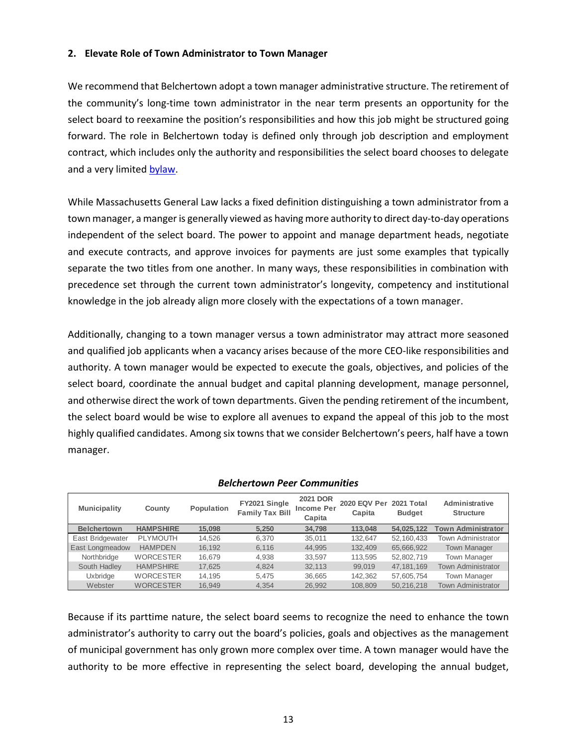#### <span id="page-16-0"></span>**2. Elevate Role of Town Administrator to Town Manager**

We recommend that Belchertown adopt a town manager administrative structure. The retirement of the community's long-time town administrator in the near term presents an opportunity for the select board to reexamine the position's responsibilities and how this job might be structured going forward. The role in Belchertown today is defined only through job description and employment contract, which includes only the authority and responsibilities the select board chooses to delegate and a very limited [bylaw.](https://ecode360.com/9050383?highlight=town%20administrator&searchId=6928631180623380#9050383)

While Massachusetts General Law lacks a fixed definition distinguishing a town administrator from a town manager, a manger is generally viewed as having more authority to direct day-to-day operations independent of the select board. The power to appoint and manage department heads, negotiate and execute contracts, and approve invoices for payments are just some examples that typically separate the two titles from one another. In many ways, these responsibilities in combination with precedence set through the current town administrator's longevity, competency and institutional knowledge in the job already align more closely with the expectations of a town manager.

Additionally, changing to a town manager versus a town administrator may attract more seasoned and qualified job applicants when a vacancy arises because of the more CEO-like responsibilities and authority. A town manager would be expected to execute the goals, objectives, and policies of the select board, coordinate the annual budget and capital planning development, manage personnel, and otherwise direct the work of town departments. Given the pending retirement of the incumbent, the select board would be wise to explore all avenues to expand the appeal of this job to the most highly qualified candidates. Among six towns that we consider Belchertown's peers, half have a town manager.

| <b>Municipality</b> | County           | Population | FY2021 Single<br><b>Family Tax Bill</b> | <b>2021 DOR</b><br><b>Income Per</b><br>Capita | 2020 EQV Per 2021 Total<br>Capita | <b>Budget</b> | Administrative<br><b>Structure</b> |
|---------------------|------------------|------------|-----------------------------------------|------------------------------------------------|-----------------------------------|---------------|------------------------------------|
| <b>Belchertown</b>  | <b>HAMPSHIRE</b> | 15.098     | 5.250                                   | 34.798                                         | 113.048                           | 54,025,122    | <b>Town Administrator</b>          |
| East Bridgewater    | <b>PLYMOUTH</b>  | 14.526     | 6.370                                   | 35,011                                         | 132.647                           | 52,160,433    | <b>Town Administrator</b>          |
| East Longmeadow     | <b>HAMPDEN</b>   | 16.192     | 6.116                                   | 44.995                                         | 132.409                           | 65,666,922    | <b>Town Manager</b>                |
| Northbridge         | <b>WORCESTER</b> | 16.679     | 4.938                                   | 33.597                                         | 113.595                           | 52,802,719    | <b>Town Manager</b>                |
| South Hadley        | <b>HAMPSHIRE</b> | 17.625     | 4.824                                   | 32.113                                         | 99.019                            | 47, 181, 169  | <b>Town Administrator</b>          |
| Uxbridge            | <b>WORCESTER</b> | 14.195     | 5.475                                   | 36,665                                         | 142.362                           | 57,605,754    | <b>Town Manager</b>                |
| Webster             | <b>WORCESTER</b> | 16.949     | 4.354                                   | 26.992                                         | 108.809                           | 50,216,218    | <b>Town Administrator</b>          |

#### *Belchertown Peer Communities*

Because if its parttime nature, the select board seems to recognize the need to enhance the town administrator's authority to carry out the board's policies, goals and objectives as the management of municipal government has only grown more complex over time. A town manager would have the authority to be more effective in representing the select board, developing the annual budget,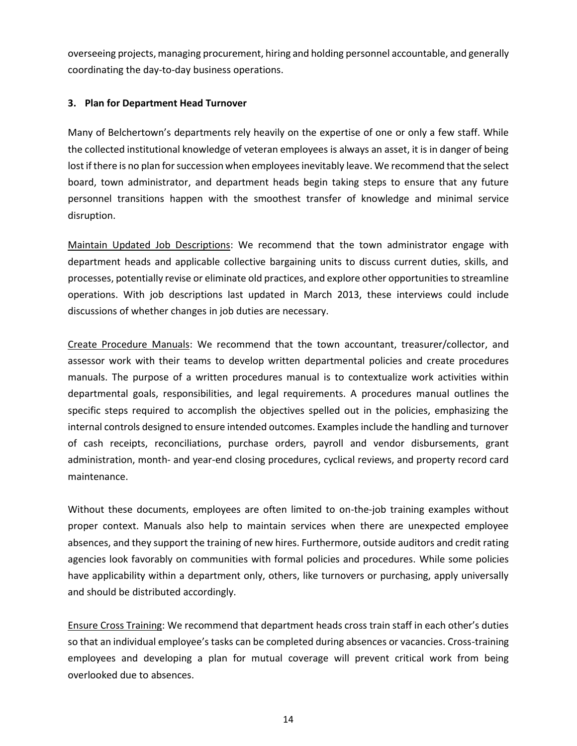overseeing projects, managing procurement, hiring and holding personnel accountable, and generally coordinating the day-to-day business operations.

#### <span id="page-17-0"></span>**3. Plan for Department Head Turnover**

Many of Belchertown's departments rely heavily on the expertise of one or only a few staff. While the collected institutional knowledge of veteran employees is always an asset, it is in danger of being lost if there is no plan for succession when employees inevitably leave. We recommend that the select board, town administrator, and department heads begin taking steps to ensure that any future personnel transitions happen with the smoothest transfer of knowledge and minimal service disruption.

Maintain Updated Job Descriptions: We recommend that the town administrator engage with department heads and applicable collective bargaining units to discuss current duties, skills, and processes, potentially revise or eliminate old practices, and explore other opportunities to streamline operations. With job descriptions last updated in March 2013, these interviews could include discussions of whether changes in job duties are necessary.

Create Procedure Manuals: We recommend that the town accountant, treasurer/collector, and assessor work with their teams to develop written departmental policies and create procedures manuals. The purpose of a written procedures manual is to contextualize work activities within departmental goals, responsibilities, and legal requirements. A procedures manual outlines the specific steps required to accomplish the objectives spelled out in the policies, emphasizing the internal controls designed to ensure intended outcomes. Examples include the handling and turnover of cash receipts, reconciliations, purchase orders, payroll and vendor disbursements, grant administration, month- and year-end closing procedures, cyclical reviews, and property record card maintenance.

Without these documents, employees are often limited to on-the-job training examples without proper context. Manuals also help to maintain services when there are unexpected employee absences, and they support the training of new hires. Furthermore, outside auditors and credit rating agencies look favorably on communities with formal policies and procedures. While some policies have applicability within a department only, others, like turnovers or purchasing, apply universally and should be distributed accordingly.

Ensure Cross Training: We recommend that department heads cross train staff in each other's duties so that an individual employee's tasks can be completed during absences or vacancies. Cross-training employees and developing a plan for mutual coverage will prevent critical work from being overlooked due to absences.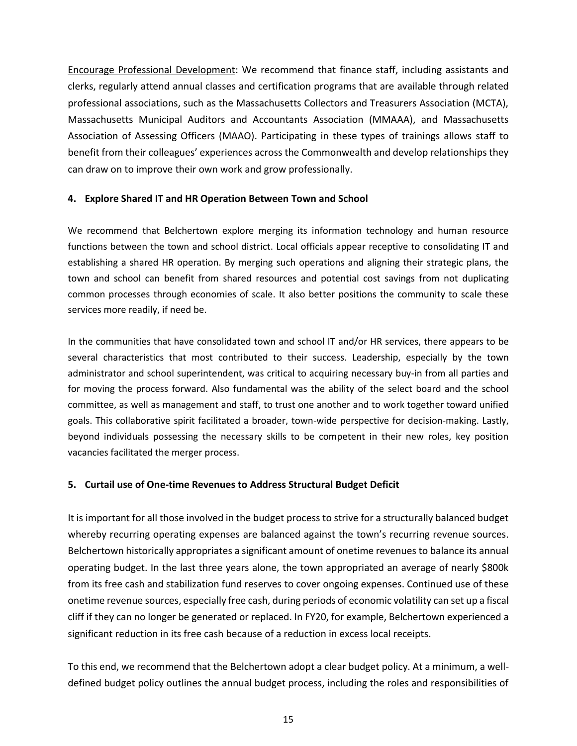Encourage Professional Development: We recommend that finance staff, including assistants and clerks, regularly attend annual classes and certification programs that are available through related professional associations, such as the Massachusetts Collectors and Treasurers Association (MCTA), Massachusetts Municipal Auditors and Accountants Association (MMAAA), and Massachusetts Association of Assessing Officers (MAAO). Participating in these types of trainings allows staff to benefit from their colleagues' experiences across the Commonwealth and develop relationships they can draw on to improve their own work and grow professionally.

#### <span id="page-18-0"></span>**4. Explore Shared IT and HR Operation Between Town and School**

We recommend that Belchertown explore merging its information technology and human resource functions between the town and school district. Local officials appear receptive to consolidating IT and establishing a shared HR operation. By merging such operations and aligning their strategic plans, the town and school can benefit from shared resources and potential cost savings from not duplicating common processes through economies of scale. It also better positions the community to scale these services more readily, if need be.

In the communities that have consolidated town and school IT and/or HR services, there appears to be several characteristics that most contributed to their success. Leadership, especially by the town administrator and school superintendent, was critical to acquiring necessary buy-in from all parties and for moving the process forward. Also fundamental was the ability of the select board and the school committee, as well as management and staff, to trust one another and to work together toward unified goals. This collaborative spirit facilitated a broader, town-wide perspective for decision-making. Lastly, beyond individuals possessing the necessary skills to be competent in their new roles, key position vacancies facilitated the merger process.

#### <span id="page-18-1"></span>**5. Curtail use of One-time Revenues to Address Structural Budget Deficit**

It is important for all those involved in the budget process to strive for a structurally balanced budget whereby recurring operating expenses are balanced against the town's recurring revenue sources. Belchertown historically appropriates a significant amount of onetime revenues to balance its annual operating budget. In the last three years alone, the town appropriated an average of nearly \$800k from its free cash and stabilization fund reserves to cover ongoing expenses. Continued use of these onetime revenue sources, especially free cash, during periods of economic volatility can set up a fiscal cliff if they can no longer be generated or replaced. In FY20, for example, Belchertown experienced a significant reduction in its free cash because of a reduction in excess local receipts.

To this end, we recommend that the Belchertown adopt a clear budget policy. At a minimum, a welldefined budget policy outlines the annual budget process, including the roles and responsibilities of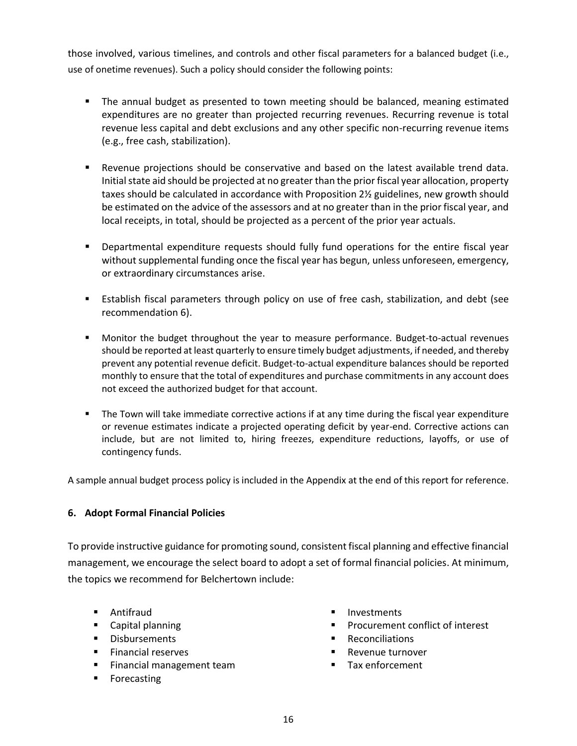those involved, various timelines, and controls and other fiscal parameters for a balanced budget (i.e., use of onetime revenues). Such a policy should consider the following points:

- The annual budget as presented to town meeting should be balanced, meaning estimated expenditures are no greater than projected recurring revenues. Recurring revenue is total revenue less capital and debt exclusions and any other specific non-recurring revenue items (e.g., free cash, stabilization).
- Revenue projections should be conservative and based on the latest available trend data. Initial state aid should be projected at no greater than the prior fiscal year allocation, property taxes should be calculated in accordance with Proposition 2½ guidelines, new growth should be estimated on the advice of the assessors and at no greater than in the prior fiscal year, and local receipts, in total, should be projected as a percent of the prior year actuals.
- Departmental expenditure requests should fully fund operations for the entire fiscal year without supplemental funding once the fiscal year has begun, unless unforeseen, emergency, or extraordinary circumstances arise.
- **E** Establish fiscal parameters through policy on use of free cash, stabilization, and debt (see recommendation 6).
- Monitor the budget throughout the year to measure performance. Budget-to-actual revenues should be reported at least quarterly to ensure timely budget adjustments, if needed, and thereby prevent any potential revenue deficit. Budget-to-actual expenditure balances should be reported monthly to ensure that the total of expenditures and purchase commitments in any account does not exceed the authorized budget for that account.
- **•** The Town will take immediate corrective actions if at any time during the fiscal year expenditure or revenue estimates indicate a projected operating deficit by year-end. Corrective actions can include, but are not limited to, hiring freezes, expenditure reductions, layoffs, or use of contingency funds.

A sample annual budget process policy is included in the Appendix at the end of this report for reference.

#### <span id="page-19-0"></span>**6. Adopt Formal Financial Policies**

To provide instructive guidance for promoting sound, consistent fiscal planning and effective financial management, we encourage the select board to adopt a set of formal financial policies. At minimum, the topics we recommend for Belchertown include:

- Antifraud
- Capital planning
- Disbursements
- Financial reserves
- Financial management team
- Forecasting
- Investments
- Procurement conflict of interest
- Reconciliations
- Revenue turnover
- Tax enforcement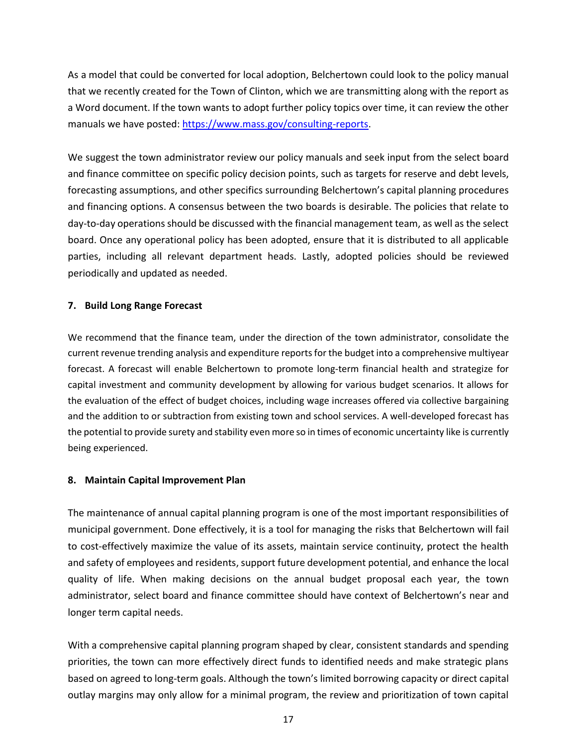As a model that could be converted for local adoption, Belchertown could look to the policy manual that we recently created for the Town of Clinton, which we are transmitting along with the report as a Word document. If the town wants to adopt further policy topics over time, it can review the other manuals we have posted: [https://www.mass.gov/consulting-reports.](https://www.mass.gov/consulting-reports)

We suggest the town administrator review our policy manuals and seek input from the select board and finance committee on specific policy decision points, such as targets for reserve and debt levels, forecasting assumptions, and other specifics surrounding Belchertown's capital planning procedures and financing options. A consensus between the two boards is desirable. The policies that relate to day-to-day operations should be discussed with the financial management team, as well as the select board. Once any operational policy has been adopted, ensure that it is distributed to all applicable parties, including all relevant department heads. Lastly, adopted policies should be reviewed periodically and updated as needed.

#### <span id="page-20-0"></span>**7. Build Long Range Forecast**

We recommend that the finance team, under the direction of the town administrator, consolidate the current revenue trending analysis and expenditure reports for the budget into a comprehensive multiyear forecast. A forecast will enable Belchertown to promote long-term financial health and strategize for capital investment and community development by allowing for various budget scenarios. It allows for the evaluation of the effect of budget choices, including wage increases offered via collective bargaining and the addition to or subtraction from existing town and school services. A well-developed forecast has the potential to provide surety and stability even more so in times of economic uncertainty like is currently being experienced.

#### <span id="page-20-1"></span>**8. Maintain Capital Improvement Plan**

The maintenance of annual capital planning program is one of the most important responsibilities of municipal government. Done effectively, it is a tool for managing the risks that Belchertown will fail to cost-effectively maximize the value of its assets, maintain service continuity, protect the health and safety of employees and residents, support future development potential, and enhance the local quality of life. When making decisions on the annual budget proposal each year, the town administrator, select board and finance committee should have context of Belchertown's near and longer term capital needs.

With a comprehensive capital planning program shaped by clear, consistent standards and spending priorities, the town can more effectively direct funds to identified needs and make strategic plans based on agreed to long-term goals. Although the town's limited borrowing capacity or direct capital outlay margins may only allow for a minimal program, the review and prioritization of town capital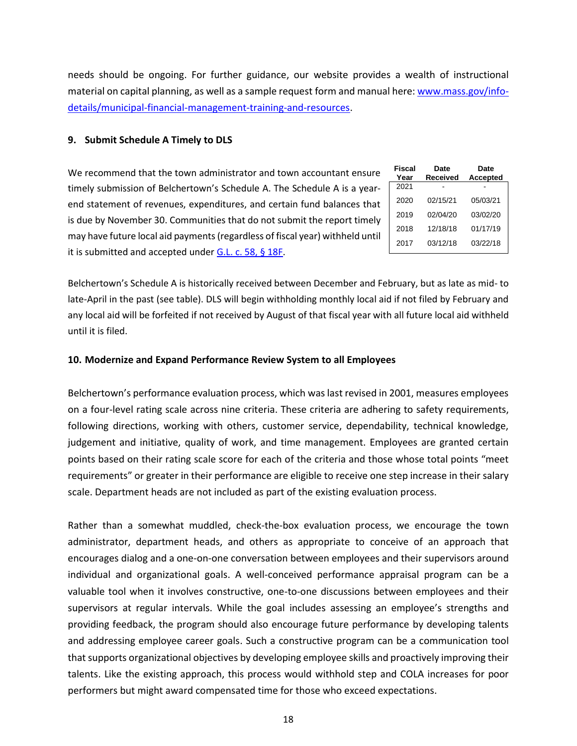needs should be ongoing. For further guidance, our website provides a wealth of instructional material on capital planning, as well as a sample request form and manual here: [www.mass.gov/info](http://www.mass.gov/info-details/municipal-financial-management-training-and-resources)[details/municipal-financial-management-training-and-resources.](http://www.mass.gov/info-details/municipal-financial-management-training-and-resources)

#### <span id="page-21-0"></span>**9. Submit Schedule A Timely to DLS**

| We recommend that the town administrator and town accountant ensure           |              |  |
|-------------------------------------------------------------------------------|--------------|--|
| timely submission of Belchertown's Schedule A. The Schedule A is a year-      | 2021         |  |
| end statement of revenues, expenditures, and certain fund balances that       | 2020<br>2019 |  |
| is due by November 30. Communities that do not submit the report timely       |              |  |
| may have future local aid payments (regardless of fiscal year) withheld until |              |  |
| it is submitted and accepted under G.L. c. 58, § 18F.                         | 2017         |  |

| Fiscal<br>Year | Date<br>Received | Date<br>Accepted |
|----------------|------------------|------------------|
| 2021           |                  |                  |
| 2020           | 02/15/21         | 05/03/21         |
| 2019           | 02/04/20         | 03/02/20         |
| 2018           | 12/18/18         | 01/17/19         |
| 2017           | 03/12/18         | 03/22/18         |

Belchertown's Schedule A is historically received between December and February, but as late as mid- to late-April in the past (see table). DLS will begin withholding monthly local aid if not filed by February and any local aid will be forfeited if not received by August of that fiscal year with all future local aid withheld until it is filed.

#### <span id="page-21-1"></span>**10. Modernize and Expand Performance Review System to all Employees**

Belchertown's performance evaluation process, which was last revised in 2001, measures employees on a four-level rating scale across nine criteria. These criteria are adhering to safety requirements, following directions, working with others, customer service, dependability, technical knowledge, judgement and initiative, quality of work, and time management. Employees are granted certain points based on their rating scale score for each of the criteria and those whose total points "meet requirements" or greater in their performance are eligible to receive one step increase in their salary scale. Department heads are not included as part of the existing evaluation process.

Rather than a somewhat muddled, check-the-box evaluation process, we encourage the town administrator, department heads, and others as appropriate to conceive of an approach that encourages dialog and a one-on-one conversation between employees and their supervisors around individual and organizational goals. A well-conceived performance appraisal program can be a valuable tool when it involves constructive, one-to-one discussions between employees and their supervisors at regular intervals. While the goal includes assessing an employee's strengths and providing feedback, the program should also encourage future performance by developing talents and addressing employee career goals. Such a constructive program can be a communication tool that supports organizational objectives by developing employee skills and proactively improving their talents. Like the existing approach, this process would withhold step and COLA increases for poor performers but might award compensated time for those who exceed expectations.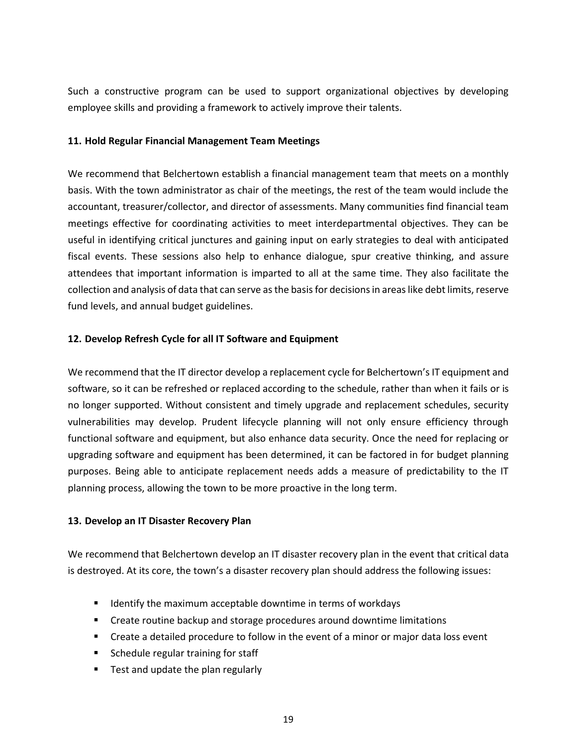Such a constructive program can be used to support organizational objectives by developing employee skills and providing a framework to actively improve their talents.

#### <span id="page-22-0"></span>**11. Hold Regular Financial Management Team Meetings**

We recommend that Belchertown establish a financial management team that meets on a monthly basis. With the town administrator as chair of the meetings, the rest of the team would include the accountant, treasurer/collector, and director of assessments. Many communities find financial team meetings effective for coordinating activities to meet interdepartmental objectives. They can be useful in identifying critical junctures and gaining input on early strategies to deal with anticipated fiscal events. These sessions also help to enhance dialogue, spur creative thinking, and assure attendees that important information is imparted to all at the same time. They also facilitate the collection and analysis of data that can serve as the basis for decisions in areas like debt limits, reserve fund levels, and annual budget guidelines.

#### **12. Develop Refresh Cycle for all IT Software and Equipment**

We recommend that the IT director develop a replacement cycle for Belchertown's IT equipment and software, so it can be refreshed or replaced according to the schedule, rather than when it fails or is no longer supported. Without consistent and timely upgrade and replacement schedules, security vulnerabilities may develop. Prudent lifecycle planning will not only ensure efficiency through functional software and equipment, but also enhance data security. Once the need for replacing or upgrading software and equipment has been determined, it can be factored in for budget planning purposes. Being able to anticipate replacement needs adds a measure of predictability to the IT planning process, allowing the town to be more proactive in the long term.

#### <span id="page-22-1"></span>**13. Develop an IT Disaster Recovery Plan**

We recommend that Belchertown develop an IT disaster recovery plan in the event that critical data is destroyed. At its core, the town's a disaster recovery plan should address the following issues:

- Identify the maximum acceptable downtime in terms of workdays
- Create routine backup and storage procedures around downtime limitations
- Create a detailed procedure to follow in the event of a minor or major data loss event
- Schedule regular training for staff
- Test and update the plan regularly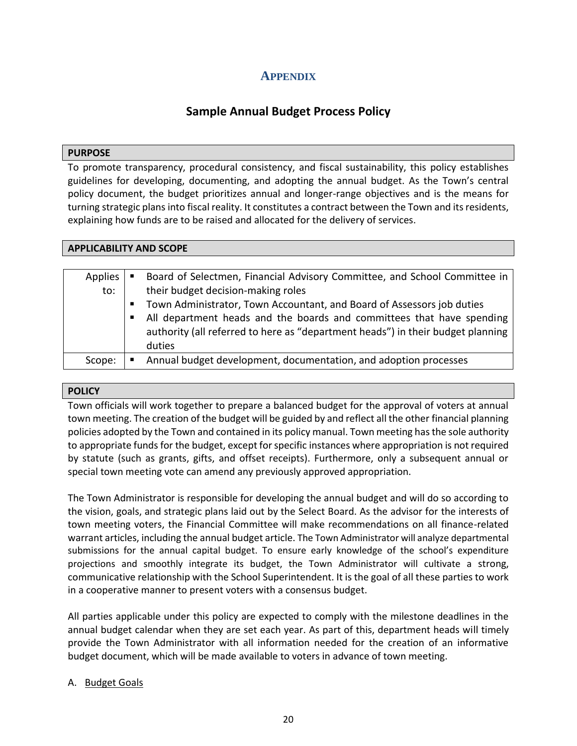## **APPENDIX**

# **Sample Annual Budget Process Policy**

#### <span id="page-23-0"></span>**PURPOSE**

To promote transparency, procedural consistency, and fiscal sustainability, this policy establishes guidelines for developing, documenting, and adopting the annual budget. As the Town's central policy document, the budget prioritizes annual and longer-range objectives and is the means for turning strategic plans into fiscal reality. It constitutes a contract between the Town and its residents, explaining how funds are to be raised and allocated for the delivery of services.

| <b>APPLICABILITY AND SCOPE</b> |                                                                                 |  |  |  |
|--------------------------------|---------------------------------------------------------------------------------|--|--|--|
|                                |                                                                                 |  |  |  |
| Applies                        | Board of Selectmen, Financial Advisory Committee, and School Committee in       |  |  |  |
| to:                            | their budget decision-making roles                                              |  |  |  |
|                                | Town Administrator, Town Accountant, and Board of Assessors job duties<br>ш     |  |  |  |
|                                | All department heads and the boards and committees that have spending<br>п      |  |  |  |
|                                | authority (all referred to here as "department heads") in their budget planning |  |  |  |
|                                | duties                                                                          |  |  |  |
| Scope:                         | Annual budget development, documentation, and adoption processes                |  |  |  |

#### **POLICY**

Town officials will work together to prepare a balanced budget for the approval of voters at annual town meeting. The creation of the budget will be guided by and reflect all the other financial planning policies adopted by the Town and contained in its policy manual. Town meeting has the sole authority to appropriate funds for the budget, except for specific instances where appropriation is not required by statute (such as grants, gifts, and offset receipts). Furthermore, only a subsequent annual or special town meeting vote can amend any previously approved appropriation.

The Town Administrator is responsible for developing the annual budget and will do so according to the vision, goals, and strategic plans laid out by the Select Board. As the advisor for the interests of town meeting voters, the Financial Committee will make recommendations on all finance-related warrant articles, including the annual budget article. The Town Administrator will analyze departmental submissions for the annual capital budget. To ensure early knowledge of the school's expenditure projections and smoothly integrate its budget, the Town Administrator will cultivate a strong, communicative relationship with the School Superintendent. It is the goal of all these parties to work in a cooperative manner to present voters with a consensus budget.

All parties applicable under this policy are expected to comply with the milestone deadlines in the annual budget calendar when they are set each year. As part of this, department heads will timely provide the Town Administrator with all information needed for the creation of an informative budget document, which will be made available to voters in advance of town meeting.

#### A. Budget Goals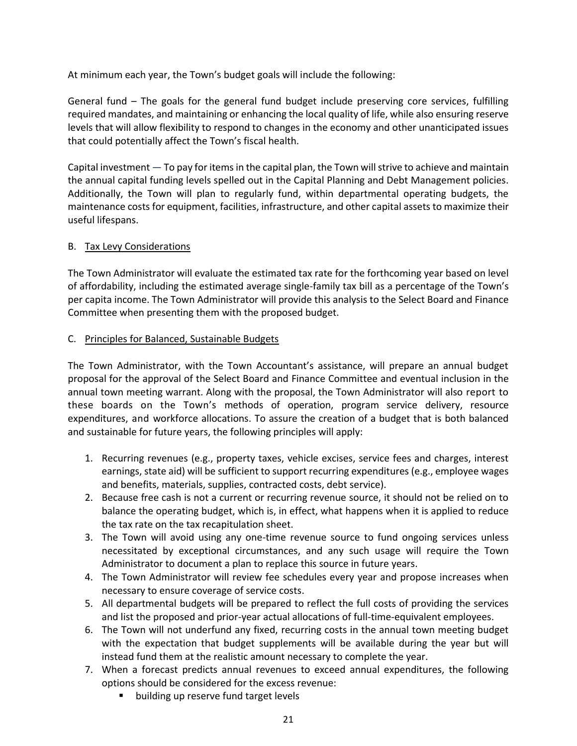At minimum each year, the Town's budget goals will include the following:

General fund – The goals for the general fund budget include preserving core services, fulfilling required mandates, and maintaining or enhancing the local quality of life, while also ensuring reserve levels that will allow flexibility to respond to changes in the economy and other unanticipated issues that could potentially affect the Town's fiscal health.

Capital investment — To pay for items in the capital plan, the Town will strive to achieve and maintain the annual capital funding levels spelled out in the Capital Planning and Debt Management policies. Additionally, the Town will plan to regularly fund, within departmental operating budgets, the maintenance costs for equipment, facilities, infrastructure, and other capital assets to maximize their useful lifespans.

#### B. Tax Levy Considerations

The Town Administrator will evaluate the estimated tax rate for the forthcoming year based on level of affordability, including the estimated average single-family tax bill as a percentage of the Town's per capita income. The Town Administrator will provide this analysis to the Select Board and Finance Committee when presenting them with the proposed budget.

#### C. Principles for Balanced, Sustainable Budgets

The Town Administrator, with the Town Accountant's assistance, will prepare an annual budget proposal for the approval of the Select Board and Finance Committee and eventual inclusion in the annual town meeting warrant. Along with the proposal, the Town Administrator will also report to these boards on the Town's methods of operation, program service delivery, resource expenditures, and workforce allocations. To assure the creation of a budget that is both balanced and sustainable for future years, the following principles will apply:

- 1. Recurring revenues (e.g., property taxes, vehicle excises, service fees and charges, interest earnings, state aid) will be sufficient to support recurring expenditures (e.g., employee wages and benefits, materials, supplies, contracted costs, debt service).
- 2. Because free cash is not a current or recurring revenue source, it should not be relied on to balance the operating budget, which is, in effect, what happens when it is applied to reduce the tax rate on the tax recapitulation sheet.
- 3. The Town will avoid using any one-time revenue source to fund ongoing services unless necessitated by exceptional circumstances, and any such usage will require the Town Administrator to document a plan to replace this source in future years.
- 4. The Town Administrator will review fee schedules every year and propose increases when necessary to ensure coverage of service costs.
- 5. All departmental budgets will be prepared to reflect the full costs of providing the services and list the proposed and prior-year actual allocations of full-time-equivalent employees.
- 6. The Town will not underfund any fixed, recurring costs in the annual town meeting budget with the expectation that budget supplements will be available during the year but will instead fund them at the realistic amount necessary to complete the year.
- 7. When a forecast predicts annual revenues to exceed annual expenditures, the following options should be considered for the excess revenue:
	- building up reserve fund target levels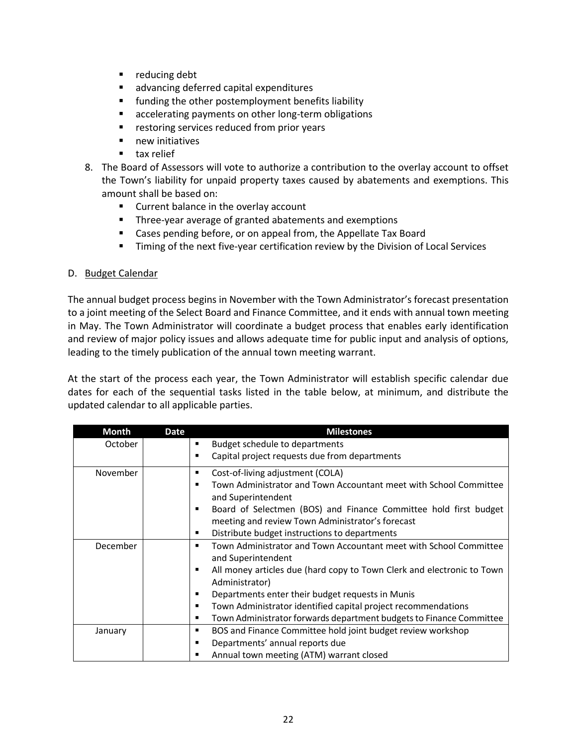- reducing debt
- advancing deferred capital expenditures
- funding the other postemployment benefits liability
- accelerating payments on other long-term obligations
- restoring services reduced from prior years
- new initiatives
- tax relief
- 8. The Board of Assessors will vote to authorize a contribution to the overlay account to offset the Town's liability for unpaid property taxes caused by abatements and exemptions. This amount shall be based on:
	- Current balance in the overlay account
	- Three-year average of granted abatements and exemptions
	- Cases pending before, or on appeal from, the Appellate Tax Board
	- **EXECT** Timing of the next five-year certification review by the Division of Local Services

#### D. Budget Calendar

The annual budget process begins in November with the Town Administrator's forecast presentation to a joint meeting of the Select Board and Finance Committee, and it ends with annual town meeting in May. The Town Administrator will coordinate a budget process that enables early identification and review of major policy issues and allows adequate time for public input and analysis of options, leading to the timely publication of the annual town meeting warrant.

At the start of the process each year, the Town Administrator will establish specific calendar due dates for each of the sequential tasks listed in the table below, at minimum, and distribute the updated calendar to all applicable parties.

| <b>Month</b> | Date | <b>Milestones</b>                                                                             |
|--------------|------|-----------------------------------------------------------------------------------------------|
| October      |      | Budget schedule to departments<br>п                                                           |
|              |      | Capital project requests due from departments<br>п                                            |
| November     |      | Cost-of-living adjustment (COLA)<br>п                                                         |
|              |      | Town Administrator and Town Accountant meet with School Committee<br>п<br>and Superintendent  |
|              |      | Board of Selectmen (BOS) and Finance Committee hold first budget<br>п                         |
|              |      | meeting and review Town Administrator's forecast                                              |
|              |      | Distribute budget instructions to departments<br>п                                            |
| December     |      | Town Administrator and Town Accountant meet with School Committee<br>п<br>and Superintendent  |
|              |      | All money articles due (hard copy to Town Clerk and electronic to Town<br>٠<br>Administrator) |
|              |      | Departments enter their budget requests in Munis<br>п                                         |
|              |      | Town Administrator identified capital project recommendations<br>п                            |
|              |      | Town Administrator forwards department budgets to Finance Committee<br>п                      |
| January      |      | BOS and Finance Committee hold joint budget review workshop<br>п                              |
|              |      | Departments' annual reports due<br>п                                                          |
|              |      | Annual town meeting (ATM) warrant closed<br>г                                                 |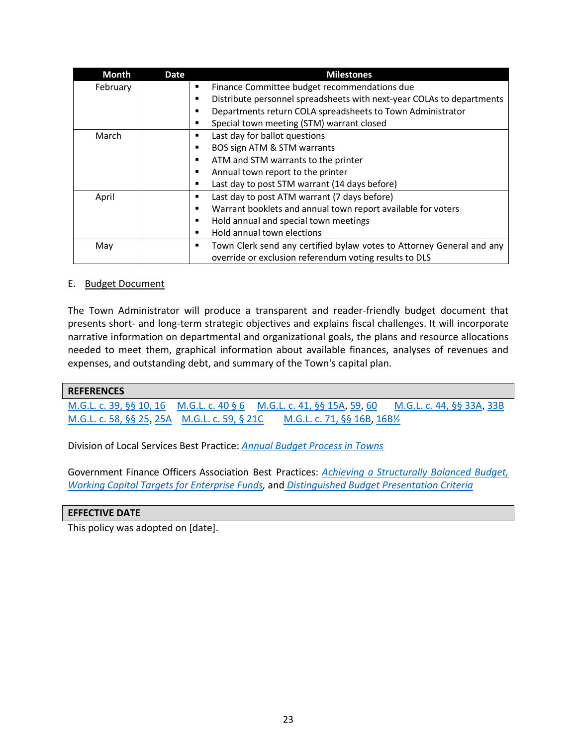| <b>Month</b> | Date | <b>Milestones</b>                                                          |
|--------------|------|----------------------------------------------------------------------------|
| February     |      | Finance Committee budget recommendations due<br>٠                          |
|              |      | Distribute personnel spreadsheets with next-year COLAs to departments<br>٠ |
|              |      | Departments return COLA spreadsheets to Town Administrator<br>٠            |
|              |      | Special town meeting (STM) warrant closed<br>٠                             |
| March        |      | Last day for ballot questions<br>٠                                         |
|              |      | BOS sign ATM & STM warrants<br>٠                                           |
|              |      | ATM and STM warrants to the printer<br>٠                                   |
|              |      | Annual town report to the printer<br>٠                                     |
|              |      | Last day to post STM warrant (14 days before)<br>٠                         |
| April        |      | Last day to post ATM warrant (7 days before)<br>٠                          |
|              |      | Warrant booklets and annual town report available for voters<br>٠          |
|              |      | Hold annual and special town meetings<br>٠                                 |
|              |      | Hold annual town elections<br>٠                                            |
| May          |      | Town Clerk send any certified bylaw votes to Attorney General and any<br>٠ |
|              |      | override or exclusion referendum voting results to DLS                     |

#### E. Budget Document

The Town Administrator will produce a transparent and reader-friendly budget document that presents short- and long-term strategic objectives and explains fiscal challenges. It will incorporate narrative information on departmental and organizational goals, the plans and resource allocations needed to meet them, graphical information about available finances, analyses of revenues and expenses, and outstanding debt, and summary of the Town's capital plan.

#### **REFERENCES**

[M.G.L. c. 39, §§ 10,](https://malegislature.gov/Laws/GeneralLaws/PartI/TitleVII/Chapter39/Section10) [16](https://malegislature.gov/Laws/GeneralLaws/PartI/TitleVII/Chapter39/Section16) [M.G.L. c. 40 § 6](https://malegislature.gov/Laws/GeneralLaws/PartI/TitleVII/Chapter40/Section6) [M.G.L. c. 41, §§ 15A,](https://malegislature.gov/Laws/GeneralLaws/PartI/TitleVII/Chapter41/Section15A) [59,](https://malegislature.gov/Laws/GeneralLaws/PartI/TitleVII/Chapter41/Section59) [60](https://malegislature.gov/Laws/GeneralLaws/PartI/TitleVII/Chapter41/Section60) [M.G.L. c. 44, §§ 33A,](https://malegislature.gov/Laws/GeneralLaws/PartI/TitleVII/Chapter44/Section33A) [33B](https://malegislature.gov/Laws/GeneralLaws/PartI/TitleVII/Chapter44/Section33B) [M.G.L. c. 58, §§ 25](https://malegislature.gov/Laws/GeneralLaws/PartI/TitleIX/Chapter58/Section25), [25A](https://malegislature.gov/Laws/GeneralLaws/PartI/TitleIX/Chapter58/Section25A) [M.G.L. c. 59, § 21C](https://malegislature.gov/Laws/GeneralLaws/PartI/TitleIX/Chapter59/Section21c) [M.G.L. c. 71, §§ 16B,](https://malegislature.gov/laws/generallaws/parti/titlexii/chapter71/section16b) [16B½](https://malegislature.gov/Laws/GeneralLaws/PartI/TitleXII/Chapter71/Section16B1~2)

Division of Local Services Best Practice: *[Annual Budget Process in Towns](https://www.mass.gov/media/1026241/download)*

Government Finance Officers Association Best Practices: *[Achieving a Structurally Balanced Budget,](https://www.gfoa.org/materials/achieving-a-structurally-balanced-budget) [Working Capital Targets for Enterprise Funds,](https://www.gfoa.org/materials/working-capital-targets-for-enterprise-funds)* and *[Distinguished Budget Presentation Criteria](https://gfoaorg.cdn.prismic.io/gfoaorg/6b375eea-0edf-47c6-9dd6-a35777494409_BudgetAwardDetailedCriteriaLocationGuide.pdf)*

#### **EFFECTIVE DATE**

This policy was adopted on [date].